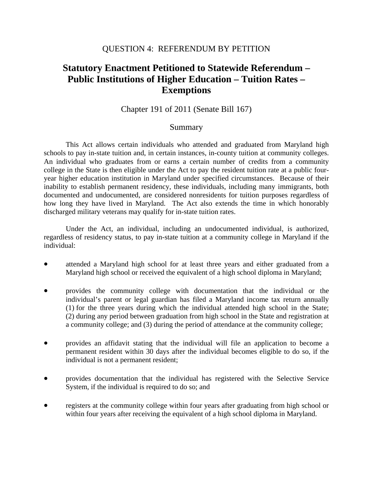## QUESTION 4: REFERENDUM BY PETITION

## **Statutory Enactment Petitioned to Statewide Referendum – Public Institutions of Higher Education – Tuition Rates – Exemptions**

## Chapter 191 of 2011 (Senate Bill 167)

## Summary

 This Act allows certain individuals who attended and graduated from Maryland high schools to pay in-state tuition and, in certain instances, in-county tuition at community colleges. An individual who graduates from or earns a certain number of credits from a community college in the State is then eligible under the Act to pay the resident tuition rate at a public fouryear higher education institution in Maryland under specified circumstances. Because of their inability to establish permanent residency, these individuals, including many immigrants, both documented and undocumented, are considered nonresidents for tuition purposes regardless of how long they have lived in Maryland. The Act also extends the time in which honorably discharged military veterans may qualify for in-state tuition rates.

 Under the Act, an individual, including an undocumented individual, is authorized, regardless of residency status, to pay in-state tuition at a community college in Maryland if the individual:

- attended a Maryland high school for at least three years and either graduated from a Maryland high school or received the equivalent of a high school diploma in Maryland;
- provides the community college with documentation that the individual or the individual's parent or legal guardian has filed a Maryland income tax return annually (1) for the three years during which the individual attended high school in the State; (2) during any period between graduation from high school in the State and registration at a community college; and (3) during the period of attendance at the community college;
- provides an affidavit stating that the individual will file an application to become a permanent resident within 30 days after the individual becomes eligible to do so, if the individual is not a permanent resident;
- provides documentation that the individual has registered with the Selective Service System, if the individual is required to do so; and
- registers at the community college within four years after graduating from high school or within four years after receiving the equivalent of a high school diploma in Maryland.